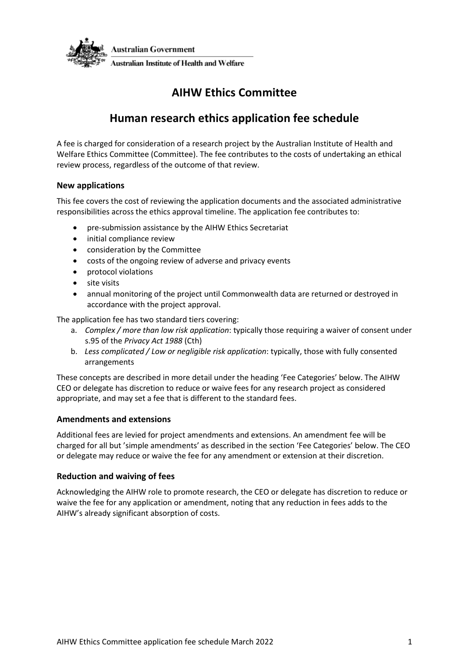

# **AIHW Ethics Committee**

# **Human research ethics application fee schedule**

A fee is charged for consideration of a research project by the Australian Institute of Health and Welfare Ethics Committee (Committee). The fee contributes to the costs of undertaking an ethical review process, regardless of the outcome of that review.

## **New applications**

This fee covers the cost of reviewing the application documents and the associated administrative responsibilities across the ethics approval timeline. The application fee contributes to:

- pre-submission assistance by the AIHW Ethics Secretariat
- initial compliance review
- consideration by the Committee
- costs of the ongoing review of adverse and privacy events
- protocol violations
- site visits
- annual monitoring of the project until Commonwealth data are returned or destroyed in accordance with the project approval.

The application fee has two standard tiers covering:

- a. *Complex / more than low risk application*: typically those requiring a waiver of consent under s.95 of the *Privacy Act 1988* (Cth)
- b. *Less complicated / Low or negligible risk application*: typically, those with fully consented arrangements

These concepts are described in more detail under the heading 'Fee Categories' below. The AIHW CEO or delegate has discretion to reduce or waive fees for any research project as considered appropriate, and may set a fee that is different to the standard fees.

## **Amendments and extensions**

Additional fees are levied for project amendments and extensions. An amendment fee will be charged for all but 'simple amendments' as described in the section 'Fee Categories' below. The CEO or delegate may reduce or waive the fee for any amendment or extension at their discretion.

## **Reduction and waiving of fees**

Acknowledging the AIHW role to promote research, the CEO or delegate has discretion to reduce or waive the fee for any application or amendment, noting that any reduction in fees adds to the AIHW's already significant absorption of costs.